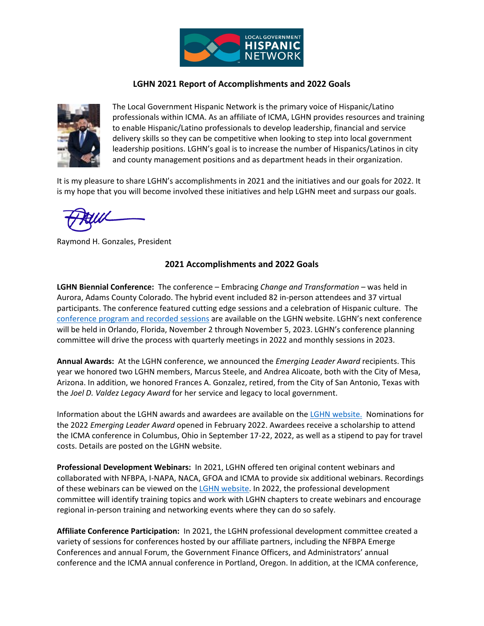

## **LGHN 2021 Report of Accomplishments and 2022 Goals**



The Local Government Hispanic Network is the primary voice of Hispanic/Latino professionals within ICMA. As an affiliate of ICMA, LGHN provides resources and training to enable Hispanic/Latino professionals to develop leadership, financial and service delivery skills so they can be competitive when looking to step into local government leadership positions. LGHN's goal is to increase the number of Hispanics/Latinos in city and county management positions and as department heads in their organization.

It is my pleasure to share LGHN's accomplishments in 2021 and the initiatives and our goals for 2022. It is my hope that you will become involved these initiatives and help LGHN meet and surpass our goals.

Raymond H. Gonzales, President

## **2021 Accomplishments and 2022 Goals**

**LGHN Biennial Conference:** The conference – Embracing *Change and Transformation* – was held in Aurora, Adams County Colorado. The hybrid event included 82 in-person attendees and 37 virtual participants. The conference featured cutting edge sessions and a celebration of Hispanic culture. The [conference program and recorded sessions](https://lghn.org/wp-content/uploads/2022/01/LGHN_Program_Final_211220.pdf) are available on the LGHN website. LGHN's next conference will be held in Orlando, Florida, November 2 through November 5, 2023. LGHN's conference planning committee will drive the process with quarterly meetings in 2022 and monthly sessions in 2023.

**Annual Awards:** At the LGHN conference, we announced the *Emerging Leader Award* recipients. This year we honored two LGHN members, Marcus Steele, and Andrea Alicoate, both with the City of Mesa, Arizona. In addition, we honored Frances A. Gonzalez, retired, from the City of San Antonio, Texas with the *Joel D. Valdez Legacy Award* for her service and legacy to local government.

Information about the LGHN awards and awardees are available on th[e LGHN website.](https://lghn.org/awards/) Nominations for the 2022 *Emerging Leader Award* opened in February 2022. Awardees receive a scholarship to attend the ICMA conference in Columbus, Ohio in September 17-22, 2022, as well as a stipend to pay for travel costs. Details are posted on the LGHN website.

**Professional Development Webinars:** In 2021, LGHN offered ten original content webinars and collaborated with NFBPA, I-NAPA, NACA, GFOA and ICMA to provide six additional webinars. Recordings of these webinars can be viewed on the [LGHN website.](https://lghn.org/recorded-webinars/) In 2022, the professional development committee will identify training topics and work with LGHN chapters to create webinars and encourage regional in-person training and networking events where they can do so safely.

**Affiliate Conference Participation:** In 2021, the LGHN professional development committee created a variety of sessions for conferences hosted by our affiliate partners, including the NFBPA Emerge Conferences and annual Forum, the Government Finance Officers, and Administrators' annual conference and the ICMA annual conference in Portland, Oregon. In addition, at the ICMA conference,